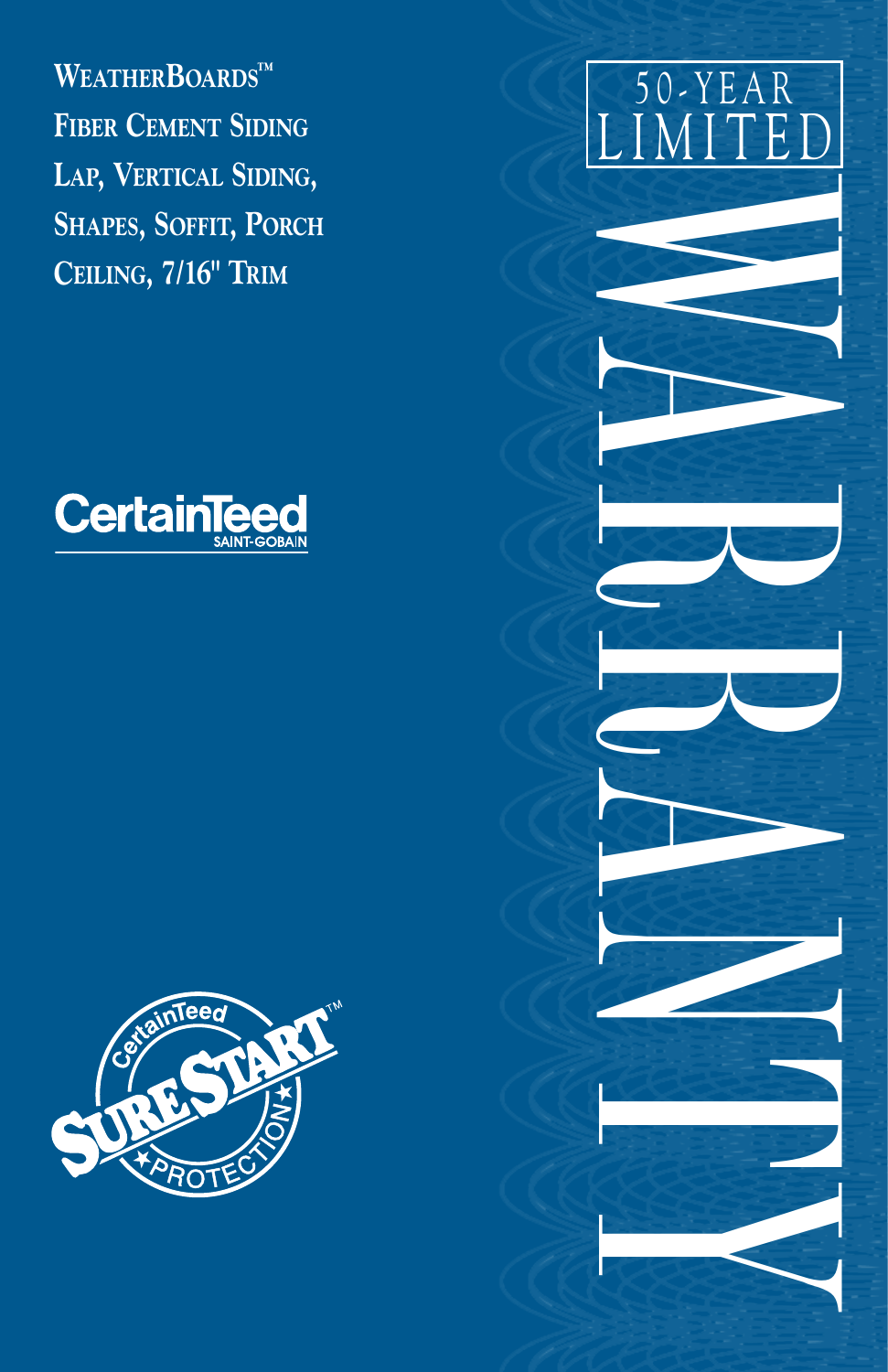WEATHERBOARDSTM **FIBER CEMENT SIDING** LAP, VERTICAL SIDING, SHAPES, SOFFIT, PORCH CEILING, 7/16" TRIM





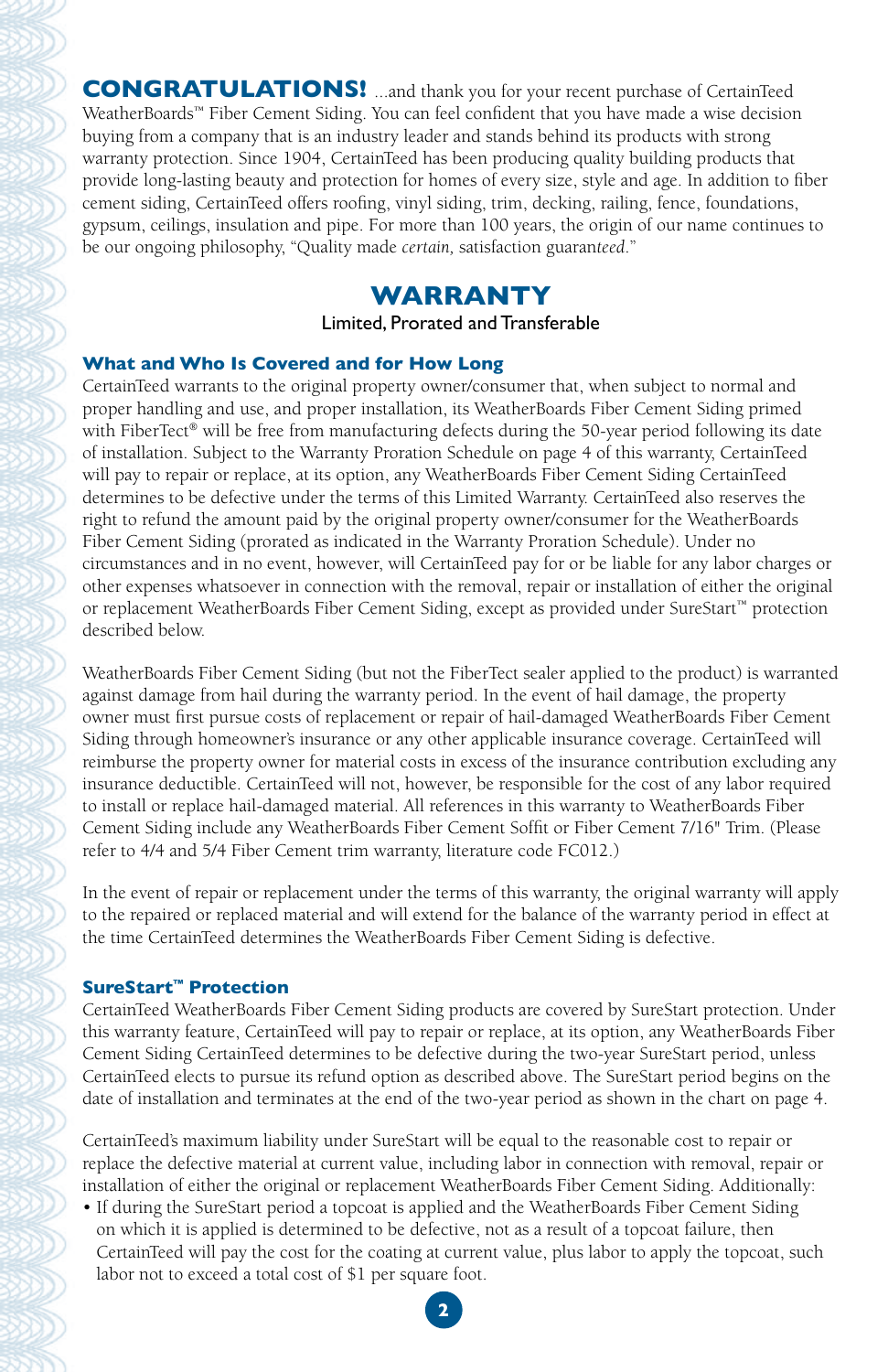**CONGRATULATIONS!** ...and thank you for your recent purchase of CertainTeed WeatherBoards™ Fiber Cement Siding. You can feel confident that you have made a wise decision buying from a company that is an industry leader and stands behind its products with strong warranty protection. Since 1904, CertainTeed has been producing quality building products that provide long-lasting beauty and protection for homes of every size, style and age. In addition to fiber cement siding, CertainTeed offers roofing, vinyl siding, trim, decking, railing, fence, foundations, gypsum, ceilings, insulation and pipe. For more than 100 years, the origin of our name continues to be our ongoing philosophy, "Quality made *certain,* satisfaction guaran*teed*."

# **WARRANTY**

Limited, Prorated and Transferable

## **What and Who Is Covered and for How Long**

CertainTeed warrants to the original property owner/consumer that, when subject to normal and proper handling and use, and proper installation, its WeatherBoards Fiber Cement Siding primed with FiberTect® will be free from manufacturing defects during the 50-year period following its date of installation. Subject to the Warranty Proration Schedule on page 4 of this warranty, CertainTeed will pay to repair or replace, at its option, any WeatherBoards Fiber Cement Siding CertainTeed determines to be defective under the terms of this Limited Warranty. CertainTeed also reserves the right to refund the amount paid by the original property owner/consumer for the WeatherBoards Fiber Cement Siding (prorated as indicated in the Warranty Proration Schedule). Under no circumstances and in no event, however, will CertainTeed pay for or be liable for any labor charges or other expenses whatsoever in connection with the removal, repair or installation of either the original or replacement WeatherBoards Fiber Cement Siding, except as provided under SureStart™ protection described below.

WeatherBoards Fiber Cement Siding (but not the FiberTect sealer applied to the product) is warranted against damage from hail during the warranty period. In the event of hail damage, the property owner must first pursue costs of replacement or repair of hail-damaged WeatherBoards Fiber Cement Siding through homeowner's insurance or any other applicable insurance coverage. CertainTeed will reimburse the property owner for material costs in excess of the insurance contribution excluding any insurance deductible. CertainTeed will not, however, be responsible for the cost of any labor required to install or replace hail-damaged material. All references in this warranty to WeatherBoards Fiber Cement Siding include any WeatherBoards Fiber Cement Soffit or Fiber Cement 7/16" Trim. (Please refer to 4/4 and 5/4 Fiber Cement trim warranty, literature code FC012.)

In the event of repair or replacement under the terms of this warranty, the original warranty will apply to the repaired or replaced material and will extend for the balance of the warranty period in effect at the time CertainTeed determines the WeatherBoards Fiber Cement Siding is defective.

## **SureStart™ Protection**

CertainTeed WeatherBoards Fiber Cement Siding products are covered by SureStart protection. Under this warranty feature, CertainTeed will pay to repair or replace, at its option, any WeatherBoards Fiber Cement Siding CertainTeed determines to be defective during the two-year SureStart period, unless CertainTeed elects to pursue its refund option as described above. The SureStart period begins on the date of installation and terminates at the end of the two-year period as shown in the chart on page 4.

CertainTeed's maximum liability under SureStart will be equal to the reasonable cost to repair or replace the defective material at current value, including labor in connection with removal, repair or installation of either the original or replacement WeatherBoards Fiber Cement Siding. Additionally:

• If during the SureStart period a topcoat is applied and the WeatherBoards Fiber Cement Siding on which it is applied is determined to be defective, not as a result of a topcoat failure, then CertainTeed will pay the cost for the coating at current value, plus labor to apply the topcoat, such labor not to exceed a total cost of \$1 per square foot.

**2**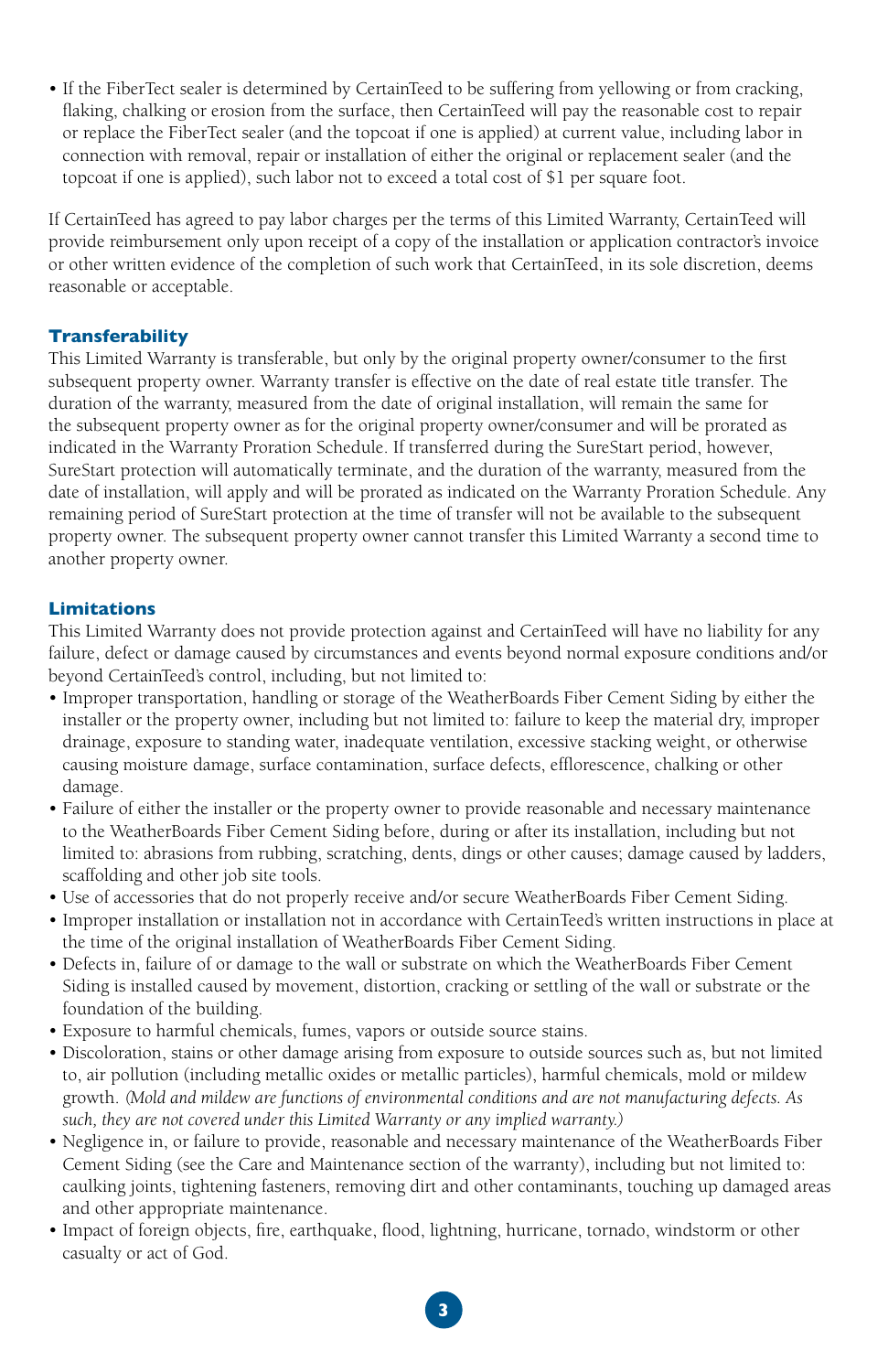• If the FiberTect sealer is determined by CertainTeed to be suffering from yellowing or from cracking, flaking, chalking or erosion from the surface, then CertainTeed will pay the reasonable cost to repair or replace the FiberTect sealer (and the topcoat if one is applied) at current value, including labor in connection with removal, repair or installation of either the original or replacement sealer (and the topcoat if one is applied), such labor not to exceed a total cost of \$1 per square foot.

If CertainTeed has agreed to pay labor charges per the terms of this Limited Warranty, CertainTeed will provide reimbursement only upon receipt of a copy of the installation or application contractor's invoice or other written evidence of the completion of such work that CertainTeed, in its sole discretion, deems reasonable or acceptable.

### **Transferability**

This Limited Warranty is transferable, but only by the original property owner/consumer to the first subsequent property owner. Warranty transfer is effective on the date of real estate title transfer. The duration of the warranty, measured from the date of original installation, will remain the same for the subsequent property owner as for the original property owner/consumer and will be prorated as indicated in the Warranty Proration Schedule. If transferred during the SureStart period, however, SureStart protection will automatically terminate, and the duration of the warranty, measured from the date of installation, will apply and will be prorated as indicated on the Warranty Proration Schedule. Any remaining period of SureStart protection at the time of transfer will not be available to the subsequent property owner. The subsequent property owner cannot transfer this Limited Warranty a second time to another property owner.

### **Limitations**

This Limited Warranty does not provide protection against and CertainTeed will have no liability for any failure, defect or damage caused by circumstances and events beyond normal exposure conditions and/or beyond CertainTeed's control, including, but not limited to:

- Improper transportation, handling or storage of the WeatherBoards Fiber Cement Siding by either the installer or the property owner, including but not limited to: failure to keep the material dry, improper drainage, exposure to standing water, inadequate ventilation, excessive stacking weight, or otherwise causing moisture damage, surface contamination, surface defects, efflorescence, chalking or other damage.
- Failure of either the installer or the property owner to provide reasonable and necessary maintenance to the WeatherBoards Fiber Cement Siding before, during or after its installation, including but not limited to: abrasions from rubbing, scratching, dents, dings or other causes; damage caused by ladders, scaffolding and other job site tools.
- Use of accessories that do not properly receive and/or secure WeatherBoards Fiber Cement Siding.
- Improper installation or installation not in accordance with CertainTeed's written instructions in place at the time of the original installation of WeatherBoards Fiber Cement Siding.
- Defects in, failure of or damage to the wall or substrate on which the WeatherBoards Fiber Cement Siding is installed caused by movement, distortion, cracking or settling of the wall or substrate or the foundation of the building.
- Exposure to harmful chemicals, fumes, vapors or outside source stains.
- Discoloration, stains or other damage arising from exposure to outside sources such as, but not limited to, air pollution (including metallic oxides or metallic particles), harmful chemicals, mold or mildew growth. *(Mold and mildew are functions of environmental conditions and are not manufacturing defects. As such, they are not covered under this Limited Warranty or any implied warranty.)*
- Negligence in, or failure to provide, reasonable and necessary maintenance of the WeatherBoards Fiber Cement Siding (see the Care and Maintenance section of the warranty), including but not limited to: caulking joints, tightening fasteners, removing dirt and other contaminants, touching up damaged areas and other appropriate maintenance.
- Impact of foreign objects, fire, earthquake, flood, lightning, hurricane, tornado, windstorm or other casualty or act of God.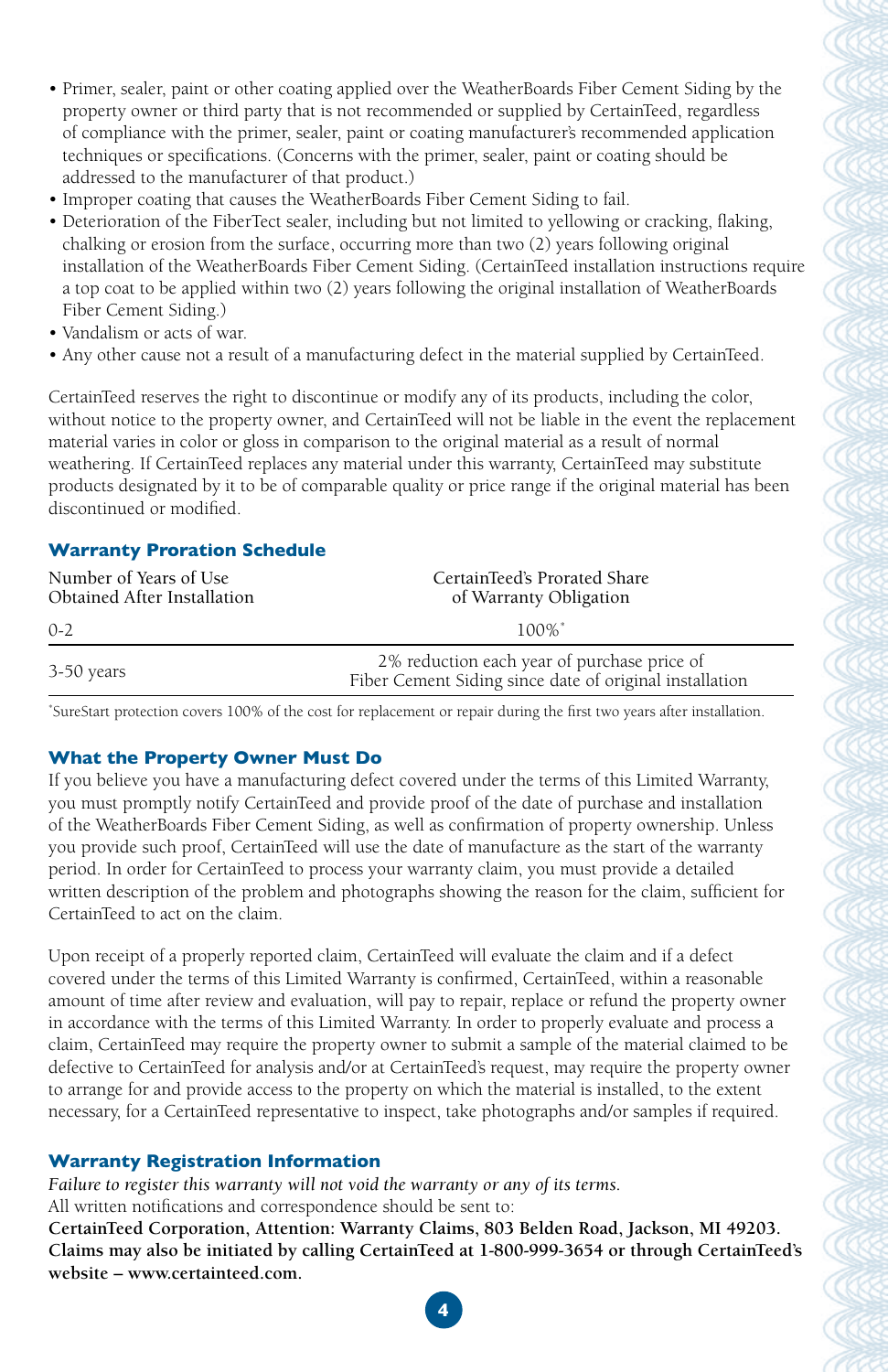- Primer, sealer, paint or other coating applied over the WeatherBoards Fiber Cement Siding by the property owner or third party that is not recommended or supplied by CertainTeed, regardless of compliance with the primer, sealer, paint or coating manufacturer's recommended application techniques or specifications. (Concerns with the primer, sealer, paint or coating should be addressed to the manufacturer of that product.)
- Improper coating that causes the WeatherBoards Fiber Cement Siding to fail.
- Deterioration of the FiberTect sealer, including but not limited to yellowing or cracking, flaking, chalking or erosion from the surface, occurring more than two (2) years following original installation of the WeatherBoards Fiber Cement Siding. (CertainTeed installation instructions require a top coat to be applied within two (2) years following the original installation of WeatherBoards Fiber Cement Siding.)
- Vandalism or acts of war.
- Any other cause not a result of a manufacturing defect in the material supplied by CertainTeed.

CertainTeed reserves the right to discontinue or modify any of its products, including the color, without notice to the property owner, and CertainTeed will not be liable in the event the replacement material varies in color or gloss in comparison to the original material as a result of normal weathering. If CertainTeed replaces any material under this warranty, CertainTeed may substitute products designated by it to be of comparable quality or price range if the original material has been discontinued or modified.

## **Warranty Proration Schedule**

| Number of Years of Use<br>Obtained After Installation | CertainTeed's Prorated Share<br>of Warranty Obligation                                                 |
|-------------------------------------------------------|--------------------------------------------------------------------------------------------------------|
| $0 - 2$                                               | $100\%$ <sup>*</sup>                                                                                   |
| 3-50 years                                            | 2% reduction each year of purchase price of<br>Fiber Cement Siding since date of original installation |

\* SureStart protection covers 100% of the cost for replacement or repair during the first two years after installation.

## **What the Property Owner Must Do**

If you believe you have a manufacturing defect covered under the terms of this Limited Warranty, you must promptly notify CertainTeed and provide proof of the date of purchase and installation of the WeatherBoards Fiber Cement Siding, as well as confirmation of property ownership. Unless you provide such proof, CertainTeed will use the date of manufacture as the start of the warranty period. In order for CertainTeed to process your warranty claim, you must provide a detailed written description of the problem and photographs showing the reason for the claim, sufficient for CertainTeed to act on the claim.

Upon receipt of a properly reported claim, CertainTeed will evaluate the claim and if a defect covered under the terms of this Limited Warranty is confirmed, CertainTeed, within a reasonable amount of time after review and evaluation, will pay to repair, replace or refund the property owner in accordance with the terms of this Limited Warranty. In order to properly evaluate and process a claim, CertainTeed may require the property owner to submit a sample of the material claimed to be defective to CertainTeed for analysis and/or at CertainTeed's request, may require the property owner to arrange for and provide access to the property on which the material is installed, to the extent necessary, for a CertainTeed representative to inspect, take photographs and/or samples if required.

## **Warranty Registration Information**

*Failure to register this warranty will not void the warranty or any of its terms.*  All written notifications and correspondence should be sent to:

**CertainTeed Corporation, Attention: Warranty Claims, 803 Belden Road, Jackson, MI 49203. Claims may also be initiated by calling CertainTeed at 1-800-999-3654 or through CertainTeed's website – www.certainteed.com.**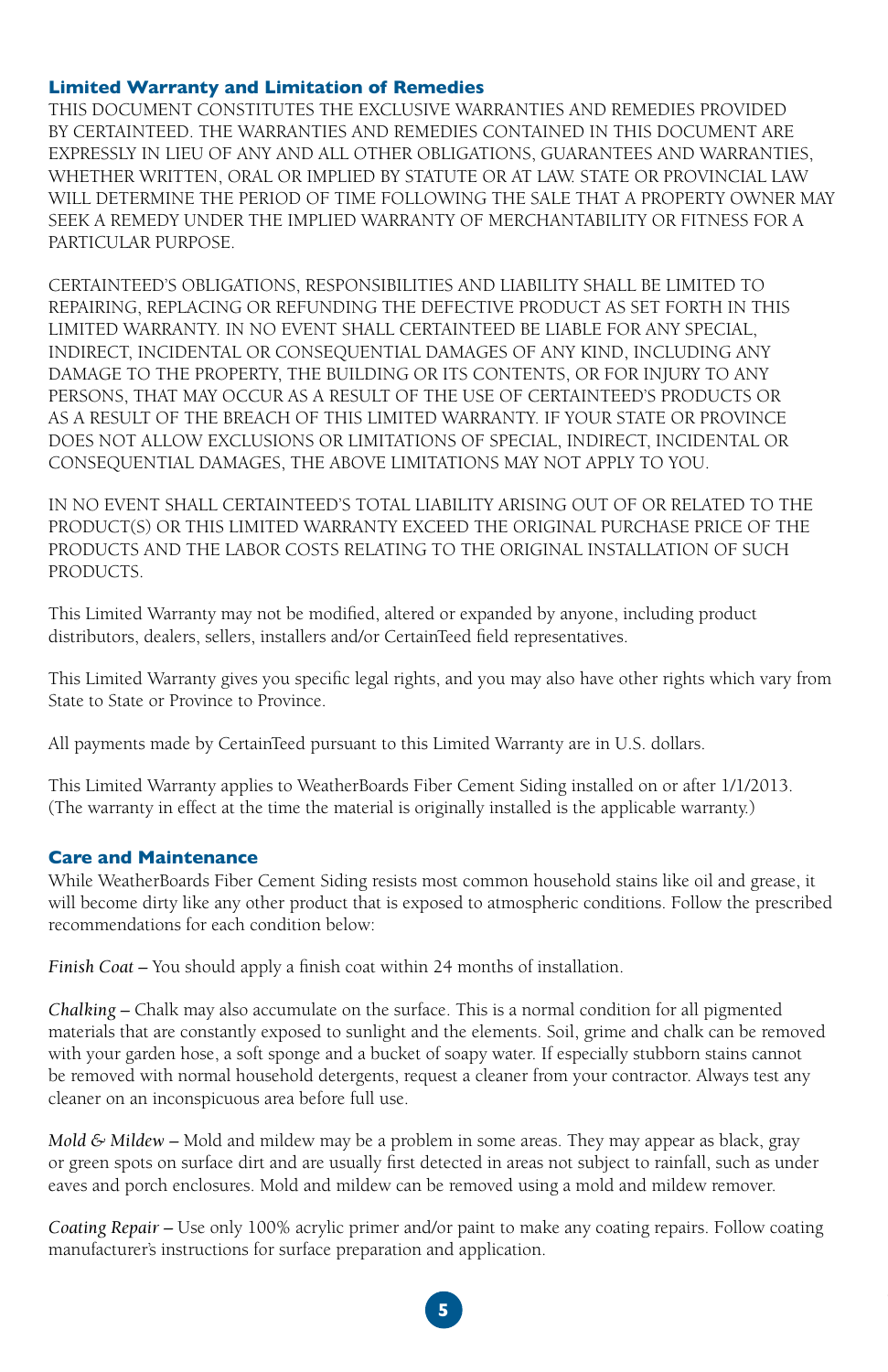#### **Limited Warranty and Limitation of Remedies**

THIS DOCUMENT CONSTITUTES THE EXCLUSIVE WARRANTIES AND REMEDIES PROVIDED BY CERTAINTEED. THE WARRANTIES AND REMEDIES CONTAINED IN THIS DOCUMENT ARE EXPRESSLY IN LIEU OF ANY AND ALL OTHER OBLIGATIONS, GUARANTEES AND WARRANTIES, WHETHER WRITTEN, ORAL OR IMPLIED BY STATUTE OR AT LAW. STATE OR PROVINCIAL LAW WILL DETERMINE THE PERIOD OF TIME FOLLOWING THE SALE THAT A PROPERTY OWNER MAY SEEK A REMEDY UNDER THE IMPLIED WARRANTY OF MERCHANTABILITY OR FITNESS FOR A PARTICULAR PURPOSE.

CERTAINTEED'S OBLIGATIONS, RESPONSIBILITIES AND LIABILITY SHALL BE LIMITED TO REPAIRING, REPLACING OR REFUNDING THE DEFECTIVE PRODUCT AS SET FORTH IN THIS LIMITED WARRANTY. IN NO EVENT SHALL CERTAINTEED BE LIABLE FOR ANY SPECIAL, INDIRECT, INCIDENTAL OR CONSEQUENTIAL DAMAGES OF ANY KIND, INCLUDING ANY DAMAGE TO THE PROPERTY, THE BUILDING OR ITS CONTENTS, OR FOR INJURY TO ANY PERSONS, THAT MAY OCCUR AS A RESULT OF THE USE OF CERTAINTEED'S PRODUCTS OR AS A RESULT OF THE BREACH OF THIS LIMITED WARRANTY. IF YOUR STATE OR PROVINCE DOES NOT ALLOW EXCLUSIONS OR LIMITATIONS OF SPECIAL, INDIRECT, INCIDENTAL OR CONSEQUENTIAL DAMAGES, THE ABOVE LIMITATIONS MAY NOT APPLY TO YOU.

IN NO EVENT SHALL CERTAINTEED'S TOTAL LIABILITY ARISING OUT OF OR RELATED TO THE PRODUCT(S) OR THIS LIMITED WARRANTY EXCEED THE ORIGINAL PURCHASE PRICE OF THE PRODUCTS AND THE LABOR COSTS RELATING TO THE ORIGINAL INSTALLATION OF SUCH PRODUCTS.

This Limited Warranty may not be modified, altered or expanded by anyone, including product distributors, dealers, sellers, installers and/or CertainTeed field representatives.

This Limited Warranty gives you specific legal rights, and you may also have other rights which vary from State to State or Province to Province.

All payments made by CertainTeed pursuant to this Limited Warranty are in U.S. dollars.

This Limited Warranty applies to WeatherBoards Fiber Cement Siding installed on or after 1/1/2013. (The warranty in effect at the time the material is originally installed is the applicable warranty.)

#### **Care and Maintenance**

While WeatherBoards Fiber Cement Siding resists most common household stains like oil and grease, it will become dirty like any other product that is exposed to atmospheric conditions. Follow the prescribed recommendations for each condition below:

*Finish Coat –* You should apply a finish coat within 24 months of installation.

*Chalking –* Chalk may also accumulate on the surface. This is a normal condition for all pigmented materials that are constantly exposed to sunlight and the elements. Soil, grime and chalk can be removed with your garden hose, a soft sponge and a bucket of soapy water. If especially stubborn stains cannot be removed with normal household detergents, request a cleaner from your contractor. Always test any cleaner on an inconspicuous area before full use.

*Mold & Mildew –* Mold and mildew may be a problem in some areas. They may appear as black, gray or green spots on surface dirt and are usually first detected in areas not subject to rainfall, such as under eaves and porch enclosures. Mold and mildew can be removed using a mold and mildew remover.

*Coating Repair –* Use only 100% acrylic primer and/or paint to make any coating repairs. Follow coating manufacturer's instructions for surface preparation and application.

**5**